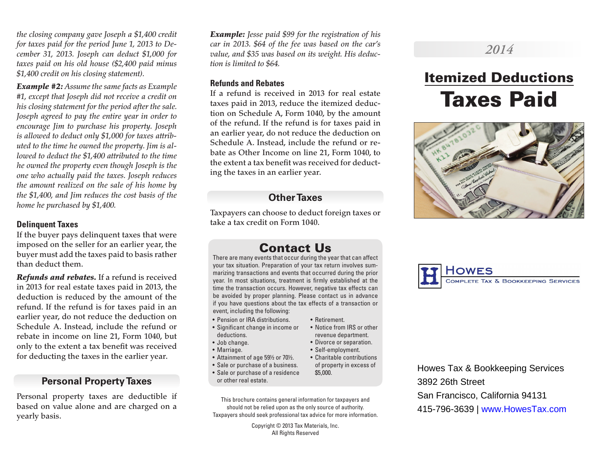*the closing company gave Joseph a \$1,400 credit for taxes paid for the period June 1, 2013 to December 31, 2013. Joseph can deduct \$1,000 for taxes paid on his old house (\$2,400 paid minus \$1,400 credit on his closing statement).*

*Example #2: Assume the same facts as Example #1, except that Joseph did not receive a credit on his closing statement for the period after the sale. Joseph agreed to pay the entire year in order to encourage Jim to purchase his property. Joseph is allowed to deduct only \$1,000 for taxes attributed to the time he owned the property. Jim is allowed to deduct the \$1,400 attributed to the time he owned the property even though Joseph is the one who actually paid the taxes. Joseph reduces the amount realized on the sale of his home by the \$1,400, and Jim reduces the cost basis of the home he purchased by \$1,400.*

## **Delinquent Taxes**

If the buyer pays delinquent taxes that were imposed on the seller for an earlier year, the buyer must add the taxes paid to basis rather than deduct them.

*Refunds and rebates.* If a refund is received in 2013 for real estate taxes paid in 2013, the deduction is reduced by the amount of the refund. If the refund is for taxes paid in an earlier year, do not reduce the deduction on Schedule A. Instead, include the refund or rebate in income on line 21, Form 1040, but only to the extent a tax benefit was received for deducting the taxes in the earlier year.

## **Personal Property Taxes**

Personal property taxes are deductible if based on value alone and are charged on a yearly basis.

*Example: Jesse paid \$99 for the registration of his car in 2013. \$64 of the fee was based on the car's value, and \$35 was based on its weight. His deduction is limited to \$64.*

#### **Refunds and Rebates**

If a refund is received in 2013 for real estate taxes paid in 2013, reduce the itemized deduction on Schedule A, Form 1040, by the amount of the refund. If the refund is for taxes paid in an earlier year, do not reduce the deduction on Schedule A. Instead, include the refund or rebate as Other Income on line 21, Form 1040, to the extent a tax benefit was received for deducting the taxes in an earlier year.

# **Other Taxes**

Taxpayers can choose to deduct foreign taxes or take a tax credit on Form 1040.

# Contact Us

There are many events that occur during the year that can affect your tax situation. Preparation of your tax return involves summarizing transactions and events that occurred during the prior year. In most situations, treatment is firmly established at the time the transaction occurs. However, negative tax effects can be avoided by proper planning. Please contact us in advance if you have questions about the tax effects of a transaction or event, including the following:

- Pension or IRA distributions.
- Significant change in income or deductions.
- Job change.
- Marriage.
- Attainment of age 59½ or 70½.
- Sale or purchase of a business.
- Sale or purchase of a residence or other real estate.

This brochure contains general information for taxpayers and should not be relied upon as the only source of authority. Taxpayers should seek professional tax advice for more information.

> Copyright © 2013 Tax Materials, Inc. All Rights Reserved

#### • Retirement.

- Notice from IRS or other revenue department.
- Divorce or separation.
- Self-employment.
- Charitable contributions of property in excess of \$5,000.

# Howes Tax & Bookkeeping Services 3892 26th Street San Francisco, California 94131 415-796-3639 | www.HowesTax.com









Itemized Deductions

Taxes Paid